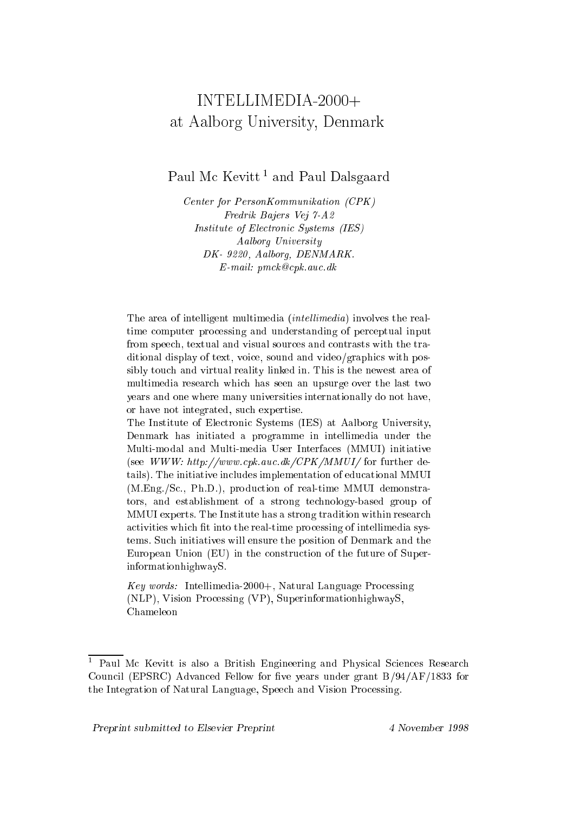# $INTELLIMEDIA-2000+$ INTELLIMEDIA-2000+ at Aalborg University, Denmark

# Paul Mc Kevitt <sup>1</sup> and Paul Dalsgaard

Center for PersonKommunikation (CPK) Fredrik Bajers Vej 7-A2 Institute of Electronic Systems (IES) Aalborg University DK- 9220, Aalborg, DENMARK. E-mail: pmck@cpk.auc.dk

The area of intelligent multimedia *(intellimedia)* involves the realtime computer processing and understanding of perceptual input from speech, textual and visual sources and contrasts with the traditional display of text, voice, sound and video/graphics with possibly touch and virtual reality linked in. This is the newest area of multimedia research which has seen an upsurge over the last two years and one where many universities internationally do not have, or have not integrated, such expertise.

The Institute of Electronic Systems (IES) at Aalborg University, Denmark has initiated a programme in intellimedia under the Multi-modal and Multi-media User Interfaces (MMUI) initiative (see WWW: http://www.cpk.auc.dk/CPK/MMUI/ for further details). The initiative includes implementation of educational MMUI (M.Eng./Sc., Ph.D.), production of real-time MMUI demonstrators, and establishment of a strong technology-based group of MMUI experts. The Institute has a strong tradition within research activities which fit into the real-time processing of intellimedia systems. Such initiatives will ensure the position of Denmark and the European Union (EU) in the construction of the future of SuperinformationhighwayS.

Key words: Intellimedia-2000+, Natural Language Processing (NLP), Vision Processing (VP), SuperinformationhighwayS, Chameleon

t Paul Mc Kevitt is also a British Engineering and Physical Sciences Research Council (EPSRC) Advanced Fellow for five years under grant  $B/94/AF/1833$  for the Integration of Natural Language, Speech and Vision Processing.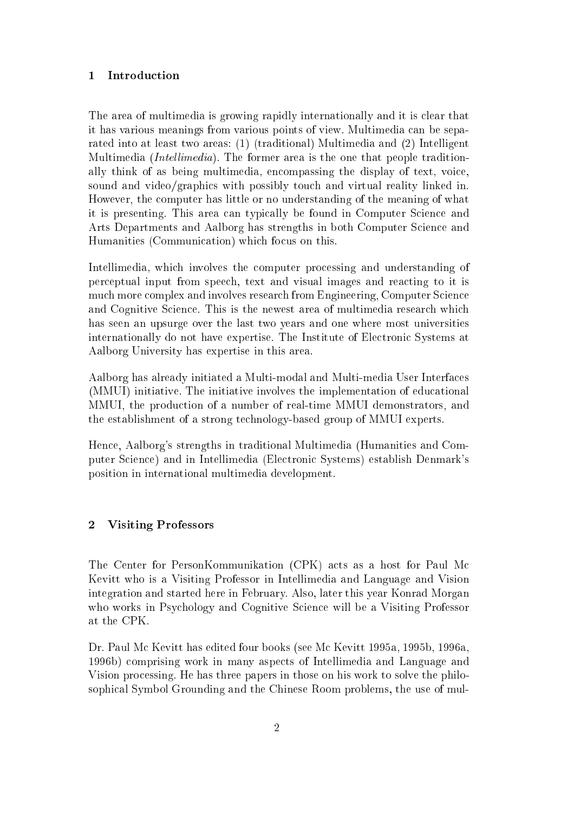#### $\mathbf{1}$ **Introduction**

The area of multimedia is growing rapidly internationally and it is clear that it has various meanings from various points of view. Multimedia can be separated into at least two areas: (1) (traditional) Multimedia and (2) Intelligent Multimedia (*Intellimedia*). The former area is the one that people traditionally think of as being multimedia, encompassing the display of text, voice, sound and video/graphics with possibly touch and virtual reality linked in. However, the computer has little or no understanding of the meaning of what it is presenting. This area can typically be found in Computer Science and Arts Departments and Aalborg has strengths in both Computer Science and Humanities (Communication) which focus on this.

Intellimedia, which involves the computer processing and understanding of perceptual input from speech, text and visual images and reacting to it is much more complex and involves research from Engineering, Computer Science and Cognitive Science. This is the newest area of multimedia research which has seen an upsurge over the last two years and one where most universities internationally do not have expertise. The Institute of Electronic Systems at Aalborg University has expertise in this area.

Aalborg has already initiated a Multi-modal and Multi-media User Interfaces (MMUI) initiative. The initiative involves the implementation of educational MMUI, the production of a number of real-time MMUI demonstrators, and the establishment of a strong technology-based group of MMUI experts.

Hence, Aalborg's strengths in traditional Multimedia (Humanities and Computer Science) and in Intellimedia (Electronic Systems) establish Denmark's position in international multimedia development.

#### $\overline{2}$ 2 Visiting Professors

The Center for PersonKommunikation (CPK) acts as a host for Paul Mc Kevitt who is a Visiting Professor in Intellimedia and Language and Vision integration and started here in February. Also, later this year Konrad Morgan who works in Psychology and Cognitive Science will be a Visiting Professor at the CPK.

Dr. Paul Mc Kevitt has edited four books (see Mc Kevitt 1995a, 1995b, 1996a, 1996b) comprising work in many aspects of Intellimedia and Language and Vision processing. He has three papers in those on his work to solve the philosophical Symbol Grounding and the Chinese Room problems, the use of mul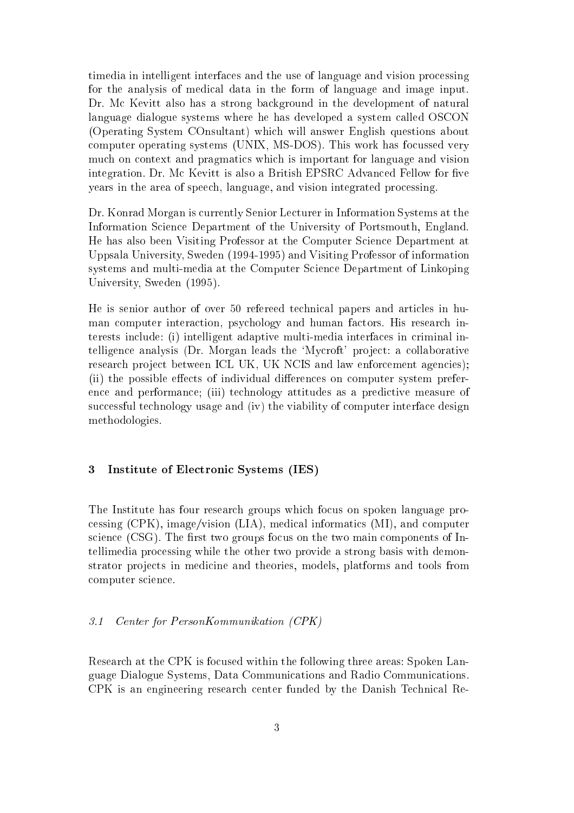timedia in intelligent interfaces and the use of language and vision processing for the analysis of medical data in the form of language and image input. Dr. Mc Kevitt also has a strong background in the development of natural language dialogue systems where he has developed a system called OSCON (Operating System COnsultant) which will answer English questions about computer operating systems (UNIX, MS-DOS). This work has focussed very much on context and pragmatics which is important for language and vision integration. Dr. Mc Kevitt is also a British EPSRC Advanced Fellow for five years in the area of speech, language, and vision integrated processing.

Dr. Konrad Morgan is currently Senior Lecturer in Information Systems at the Information Science Department of the University of Portsmouth, England. He has also been Visiting Professor at the Computer Science Department at Uppsala University, Sweden (1994-1995) and Visiting Professor of information systems and multi-media at the Computer Science Department of Linkoping University, Sweden (1995).

He is senior author of over 50 refereed technical papers and articles in human computer interaction, psychology and human factors. His research interests include: (i) intelligent adaptive multi-media interfaces in criminal intelligence analysis (Dr. Morgan leads the `Mycroft' project: a collaborative research project between ICL UK, UK NCIS and law enforcement agencies); (ii) the possible effects of individual differences on computer system preference and performance; (iii) technology attitudes as a predictive measure of successful technology usage and (iv) the viability of computer interface design methodologies.

# 3 Institute of Electronic Systems (IES)

The Institute has four research groups which focus on spoken language processing (CPK), image/vision (LIA), medical informatics (MI), and computer science  $(CSG)$ . The first two groups focus on the two main components of Intellimedia processing while the other two provide a strong basis with demonstrator projects in medicine and theories, models, platforms and tools from computer science.

### 3.1 Center for PersonKommunikation (CPK)

Research at the CPK is focused within the following three areas: Spoken Language Dialogue Systems, Data Communications and Radio Communications. CPK is an engineering research center funded by the Danish Technical Re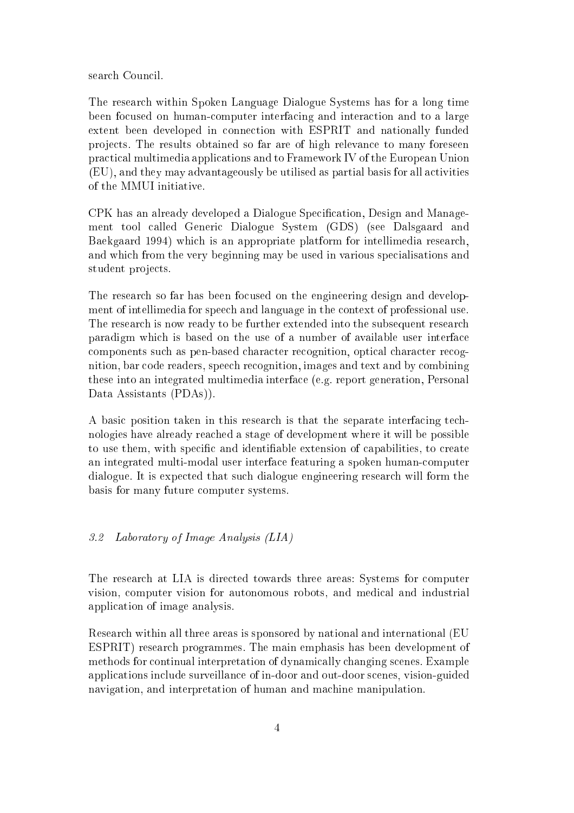search Council.

The research within Spoken Language Dialogue Systems has for a long time been focused on human-computer interfacing and interaction and to a large extent been developed in connection with ESPRIT and nationally funded projects. The results obtained so far are of high relevance to many foreseen practical multimedia applications and to Framework IV of the European Union (EU), and they may advantageously be utilised as partial basis for all activities of the MMUI initiative.

CPK has an already developed a Dialogue Specication, Design and Management tool called Generic Dialogue System (GDS) (see Dalsgaard and Baekgaard 1994) which is an appropriate platform for intellimedia research, and which from the very beginning may be used in various specialisations and student projects.

The research so far has been focused on the engineering design and development of intellimedia for speech and language in the context of professional use. The research is now ready to be further extended into the subsequent research paradigm which is based on the use of a number of available user interface components such as pen-based character recognition, optical character recognition, bar code readers, speech recognition, images and text and by combining these into an integrated multimedia interface (e.g. report generation, Personal Data Assistants (PDAs)).

A basic position taken in this research is that the separate interfacing technologies have already reached a stage of development where it will be possible to use them, with specic and identiable extension of capabilities, to create an integrated multi-modal user interface featuring a spoken human-computer dialogue. It is expected that such dialogue engineering research will form the basis for many future computer systems.

### 3.2 Laboratory of Image Analysis (LIA)

The research at LIA is directed towards three areas: Systems for computer vision, computer vision for autonomous robots, and medical and industrial application of image analysis.

Research within all three areas is sponsored by national and international (EU ESPRIT) research programmes. The main emphasis has been development of methods for continual interpretation of dynamically changing scenes. Example applications include surveillance of in-door and out-door scenes, vision-guided navigation, and interpretation of human and machine manipulation.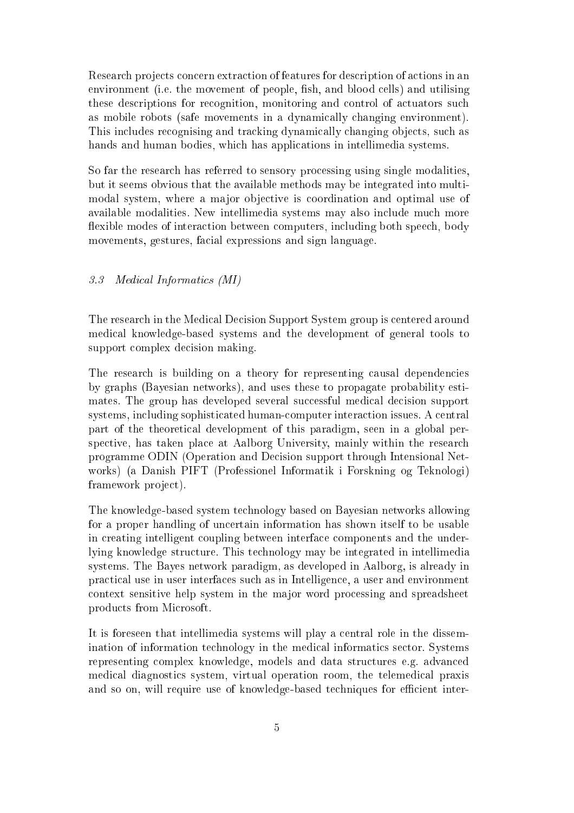Research projects concern extraction of features for description of actions in an environment (i.e. the movement of people, fish, and blood cells) and utilising these descriptions for recognition, monitoring and control of actuators such as mobile robots (safe movements in a dynamically changing environment). This includes recognising and tracking dynamically changing objects, such as hands and human bodies, which has applications in intellimedia systems.

So far the research has referred to sensory processing using single modalities, but it seems obvious that the available methods may be integrated into multimodal system, where a major objective is coordination and optimal use of available modalities. New intellimedia systems may also include much more flexible modes of interaction between computers, including both speech, body movements, gestures, facial expressions and sign language.

### 3.3 Medical Informatics (MI)

The research in the Medical Decision Support System group is centered around medical knowledge-based systems and the development of general tools to support complex decision making.

The research is building on a theory for representing causal dependencies by graphs (Bayesian networks), and uses these to propagate probability estimates. The group has developed several successful medical decision support systems, including sophisticated human-computer interaction issues. A central part of the theoretical development of this paradigm, seen in a global perspective, has taken place at Aalborg University, mainly within the research programme ODIN (Operation and Decision support through Intensional Networks) (a Danish PIFT (Professionel Informatik i Forskning og Teknologi) framework project).

The knowledge-based system technology based on Bayesian networks allowing for a proper handling of uncertain information has shown itself to be usable in creating intelligent coupling between interface components and the underlying knowledge structure. This technology may be integrated in intellimedia systems. The Bayes network paradigm, as developed in Aalborg, is already in practical use in user interfaces such as in Intelligence, a user and environment context sensitive help system in the major word processing and spreadsheet products from Microsoft.

It is foreseen that intellimedia systems will play a central role in the dissemination of information technology in the medical informatics sector. Systems representing complex knowledge, models and data structures e.g. advanced medical diagnostics system, virtual operation room, the telemedical praxis and so on, will require use of knowledge-based techniques for efficient inter-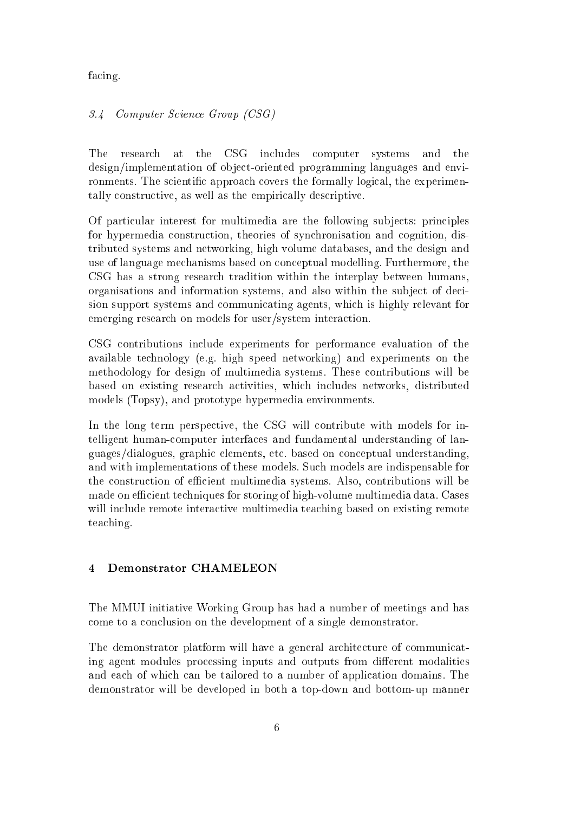# facing.

# 3.4 Computer Science Group (CSG)

The research at the CSG includes computer systems and the design/implementation of object-oriented programming languages and environments. The scientific approach covers the formally logical, the experimentally constructive, as well as the empirically descriptive.

Of particular interest for multimedia are the following subjects: principles for hypermedia construction, theories of synchronisation and cognition, distributed systems and networking, high volume databases, and the design and use of language mechanisms based on conceptual modelling. Furthermore, the CSG has a strong research tradition within the interplay between humans, organisations and information systems, and also within the subject of decision support systems and communicating agents, which is highly relevant for emerging research on models for user/system interaction.

CSG contributions include experiments for performance evaluation of the available technology (e.g. high speed networking) and experiments on the methodology for design of multimedia systems. These contributions will be based on existing research activities, which includes networks, distributed models (Topsy), and prototype hypermedia environments.

In the long term perspective, the CSG will contribute with models for intelligent human-computer interfaces and fundamental understanding of languages/dialogues, graphic elements, etc. based on conceptual understanding, and with implementations of these models. Such models are indispensable for the construction of efficient multimedia systems. Also, contributions will be made on efficient techniques for storing of high-volume multimedia data. Cases will include remote interactive multimedia teaching based on existing remote teaching.

#### $\overline{4}$ **Demonstrator CHAMELEON**

The MMUI initiative Working Group has had a number of meetings and has come to a conclusion on the development of a single demonstrator.

The demonstrator platform will have a general architecture of communicating agent modules processing inputs and outputs from different modalities and each of which can be tailored to a number of application domains. The demonstrator will be developed in both a top-down and bottom-up manner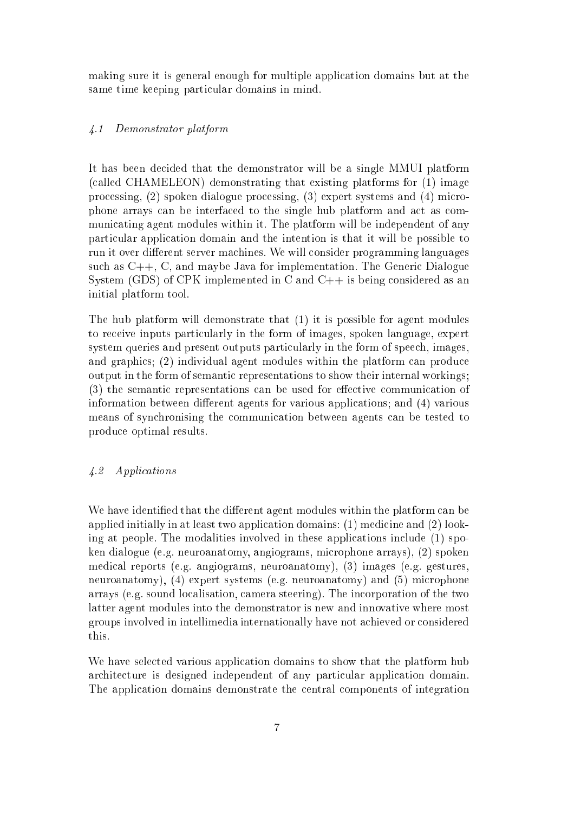making sure it is general enough for multiple application domains but at the same time keeping particular domains in mind.

### 4.1 Demonstrator platform

It has been decided that the demonstrator will be a single MMUI platform (called CHAMELEON) demonstrating that existing platforms for (1) image processing, (2) spoken dialogue processing, (3) expert systems and (4) microphone arrays can be interfaced to the single hub platform and act as communicating agent modules within it. The platform will be independent of any particular application domain and the intention is that it will be possible to run it over different server machines. We will consider programming languages such as  $C_{++}$ , C, and maybe Java for implementation. The Generic Dialogue System (GDS) of CPK implemented in C and  $C_{++}$  is being considered as an initial platform tool.

The hub platform will demonstrate that (1) it is possible for agent modules to receive inputs particularly in the form of images, spoken language, expert system queries and present outputs particularly in the form of speech, images, and graphics; (2) individual agent modules within the platform can produce output in the form of semantic representations to show their internal workings;  $(3)$  the semantic representations can be used for effective communication of information between different agents for various applications; and  $(4)$  various means of synchronising the communication between agents can be tested to produce optimal results.

### 4.2 Applications

We have identified that the different agent modules within the platform can be applied initially in at least two application domains: (1) medicine and (2) looking at people. The modalities involved in these applications include (1) spoken dialogue (e.g. neuroanatomy, angiograms, microphone arrays), (2) spoken medical reports (e.g. angiograms, neuroanatomy), (3) images (e.g. gestures, neuroanatomy), (4) expert systems (e.g. neuroanatomy) and (5) microphone arrays (e.g. sound localisation, camera steering). The incorporation of the two latter agent modules into the demonstrator is new and innovative where most groups involved in intellimedia internationally have not achieved or considered this.

We have selected various application domains to show that the platform hub architecture is designed independent of any particular application domain. The application domains demonstrate the central components of integration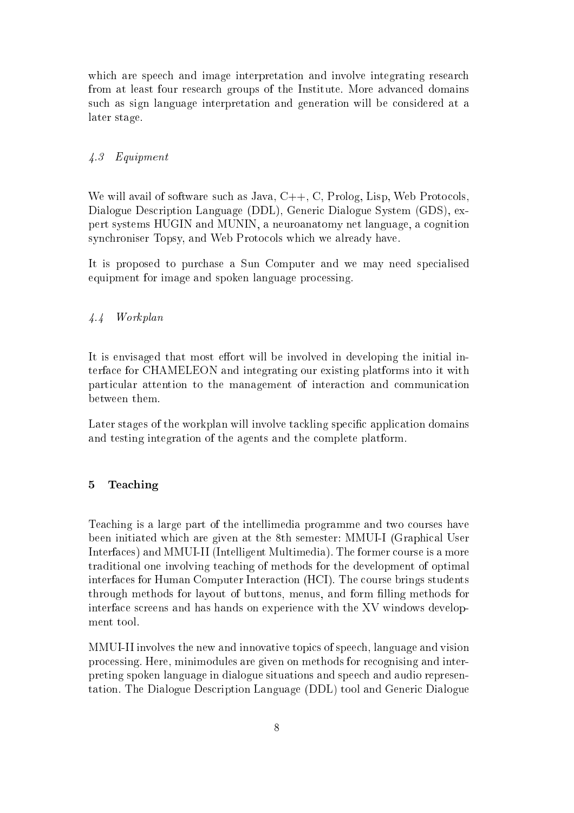which are speech and image interpretation and involve integrating research from at least four research groups of the Institute. More advanced domains such as sign language interpretation and generation will be considered at a later stage.

# 4.3 Equipment

We will avail of software such as Java, C++, C, Prolog, Lisp, Web Protocols, Dialogue Description Language (DDL), Generic Dialogue System (GDS), expert systems HUGIN and MUNIN, a neuroanatomy net language, a cognition synchroniser Topsy, and Web Protocols which we already have.

It is proposed to purchase a Sun Computer and we may need specialised equipment for image and spoken language processing.

# 4.4 Workplan

It is envisaged that most effort will be involved in developing the initial interface for CHAMELEON and integrating our existing platforms into it with particular attention to the management of interaction and communication between them.

Later stages of the workplan will involve tackling specic application domains and testing integration of the agents and the complete platform.

### 5 Teaching

Teaching is a large part of the intellimedia programme and two courses have been initiated which are given at the 8th semester: MMUI-I (Graphical User Interfaces) and MMUI-II (Intelligent Multimedia). The former course is a more traditional one involving teaching of methods for the development of optimal interfaces for Human Computer Interaction (HCI). The course brings students through methods for layout of buttons, menus, and form lling methods for interface screens and has hands on experience with the XV windows development tool.

MMUI-II involves the new and innovative topics of speech, language and vision processing. Here, minimodules are given on methods for recognising and interpreting spoken language in dialogue situations and speech and audio representation. The Dialogue Description Language (DDL) tool and Generic Dialogue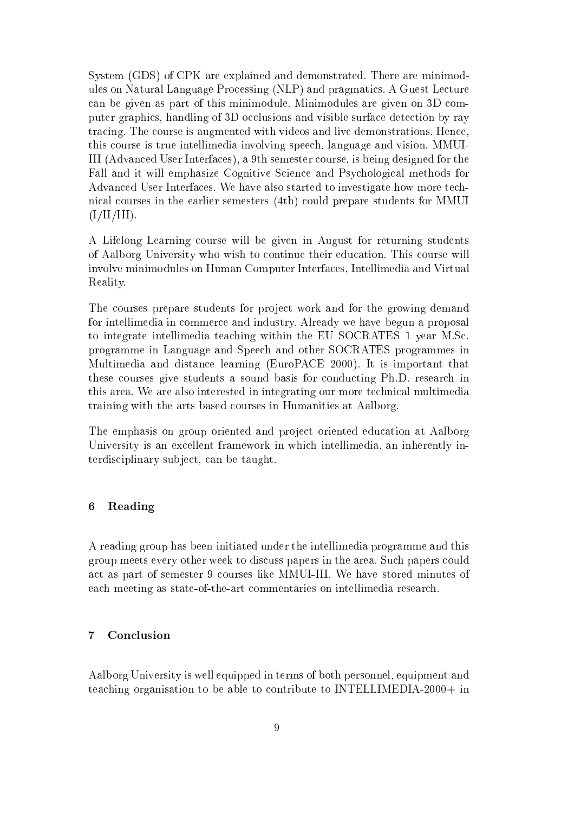System (GDS) of CPK are explained and demonstrated. There are minimodules on Natural Language Processing (NLP) and pragmatics. A Guest Lecture can be given as part of this minimodule. Minimodules are given on 3D computer graphics, handling of 3D occlusions and visible surface detection by ray tracing. The course is augmented with videos and live demonstrations. Hence, this course is true intellimedia involving speech, language and vision. MMUI-III (Advanced User Interfaces), a 9th semester course, is being designed for the Fall and it will emphasize Cognitive Science and Psychological methods for Advanced User Interfaces. We have also started to investigate how more technical courses in the earlier semesters (4th) could prepare students for MMUI  $(I/II/III)$ .

A Lifelong Learning course will be given in August for returning students of Aalborg University who wish to continue their education. This course will involve minimodules on Human Computer Interfaces, Intellimedia and Virtual Reality.

The courses prepare students for project work and for the growing demand for intellimedia in commerce and industry. Already we have begun a proposal to integrate intellimedia teaching within the EU SOCRATES 1 year M.Sc. programme in Language and Speech and other SOCRATES programmes in Multimedia and distance learning (EuroPACE 2000). It is important that these courses give students a sound basis for conducting Ph.D. research in this area. We are also interested in integrating our more technical multimedia training with the arts based courses in Humanities at Aalborg.

The emphasis on group oriented and project oriented education at Aalborg University is an excellent framework in which intellimedia, an inherently interdisciplinary subject, can be taught.

### 6 Reading

A reading group has been initiated under the intellimedia programme and this group meets every other week to discuss papers in the area. Such papers could act as part of semester 9 courses like MMUI-III. We have stored minutes of each meeting as state-of-the-art commentaries on intellimedia research.

### 7 Conclusion

Aalborg University is well equipped in terms of both personnel, equipment and teaching organisation to be able to contribute to INTELLIMEDIA-2000+ in